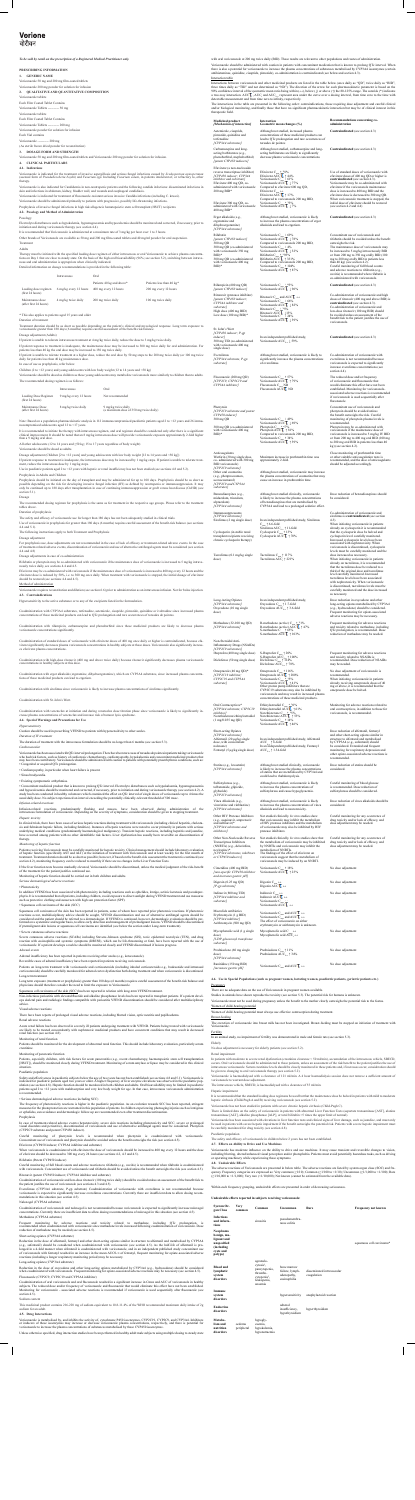*To be sold by retail on the prescription of a Registered Medical Practitioner only.*

# **PRESCRIBING INFORMATION**

**1. GENERIC NAME** Voriconazole 50 mg and 200 mg film-coated tablets Voriconazole 200 mg powder for solution for infusion

### **2. QUALITATIVE AND QUANTITATIVE COMPOSITION**

zole tablets

- Each Film Coated Tablet Contains Voriconazole Tablets ---------- 50 mg Voriconazole tablets Each Film Coated Tablet Contains Voriconazole Tablets ---------- 200 mg
- Voriconazole powder for solution for infusion Each Vial contains
- Voriconazole ---------- 200 mg

Voriconazole is indicated for the treatment of invasive aspergillosis and serious fungal infections caused by *Scedosporium apiospermum*<br>(asexual form of *Pseudallescheria boydii*) and *Fusarium spp.* Including *Fusarium s* therapy.

Voriconazole is also indicated for Candidemia in non-neutropenic patients and the following candida infections: disseminated infections in<br>skin and infections in abdomen, kidney, bladder wall, and wounds and esophageal can

(As sterile freeze dried powder for reconstitution)

### **3. DOSAGE FORM AND STRENGTH**

Voriconazole 50 mg and 200 mg film-coated tablets and Voriconazole 200 mg powder for solution for infusion.

# **4. CLINICAL PARTICULARS**

# **4.1. Indications**

Therapy must be initiated with the specified loading dose regimen of either intravenous or oral Voriconazole to achieve plasma concentra-<br>tions on Day 1 that are close to steady state. On the basis of the high oral bioavai nous and oral administration is appropriate when clinically indicated.

Voriconazole is indicated for treatment of fluconazole-resistant serious invasive Candida infections (including C. krusei).

Voriconazole should be administered primarily to patients with progressive, possibly life-threatening infections.

Prophylaxis of invasive fungal infections in high risk allogeneic hematopoietic stem cell transplant (HSCT) recipients

# **4.2. Posology and Method of Administration**

Posology

Electrolyte disturbances such as hypokalemia, hypomagnesemia and hypocalcemia should be monitored and corrected, if necessary, prior to initiation and during voriconazole therapy (see section 4.4).

It is recommended that Voriconazole is administered at a maximum rate of 3 mg/kg per hour over 1 to 3 hours.

Other brands of Voriconazole are available as 50 mg and 200 mg film-coated tablets and 40 mg/ml powder for oral suspension. Treatment

#### Adults

Note: Based on a population pharmacokinetic analysis in 112 immunocompromised paediatric patients aged 2 to <12 years and 26 immunocompromised adolescents aged 12 to <17 years.

It is recommended to initiate the therapy with intravenous regimen, and oral regimen should be considered only after there is a significant<br>clinical improvement. It should be noted that an 8 mg/kg intravenous dose will pro than a 9 mg/kg oral dose.

All other adolescents (12 to 14 years and  ${\geq}50$  kg; 15 to 17 years regardless of body weight)

Dosage adjustment (Children [2 to <12 years] and young adolescents with low body weight [12 to 14 years and <50 kg]) If patient response to treatment is inadequate, the intravenous dose may be increased by 1 mg/kg steps. If patient is unable to tolerate treatnt, reduce the intravenous dose by  $1 \frac{\text{m}}{\text{mg/kg}}$  steps.

Detailed information on dosage recommendations is provided in the following table:

Prophylaxis should be initiated on the day of transplant and may be administered for up to 100 days. Prophylaxis should be as short as possible depending on the risk for developing invasive fungal infection (IFI) as defined by neutropenia or immunosuppression. It may only be continued up to 180 days after transplantation in case of continuing immunosuppression or graft versus host disease (GvHD) (see sec

|                                            | Intravenous            | Oral                      |                           |
|--------------------------------------------|------------------------|---------------------------|---------------------------|
|                                            |                        | Patients 40 kg and above* | Patients less than 40 kg* |
| Loading dose regimen<br>(first 24 hours)   | 6 mg/kg every 12 hours | 400 mg every 12 hours     | 200 mg every 12 hours     |
| Maintenance dose<br>(after first 24 hours) | 4 mg/kg twice daily    | 200 mg twice daily        | 100 mg twice daily        |

\* This also applies to patients aged 15 years and older

# Duration of treatment

Treatment duration should be as short as possible depending on the patient's clinical and mycological response. Long term exposure to<br>voriconazole greater than 180 days (6 months) requires careful assessment of the benefit

# Dosage adjustment (Adults)

If patient is unable to tolerate intravenous treatment at 4 mg/kg twice daily, reduce the dose to 3 mg/kg twice daily.

If patient response to treatment is inadequate, the maintenance dose may be increased to 300 mg twice daily for oral administration. For patients less than 40 kg the oral dose may be increased to 150 mg twice daily.

If patient is unable to tolerate treatment at a higher dose, reduce the oral dose by 50 mg steps to the 200 mg twice daily (or 100 mg twice daily for patients less than 40 kg) maintenance dose.

In case of use as prophylaxis, refer below.

Children (2 to <12 years) and young adolescents with low body weight (12 to 14 years and <50 kg)

Voriconazole should be dosed as children as these young adolescents may metabolize voriconazole more similarly to children than to adults. The recommended dosing regimen is as follows:

|                                            | Intravenous            | Oral                                                          |
|--------------------------------------------|------------------------|---------------------------------------------------------------|
| Loading Dose Regimen<br>(first 24 hours)   | 9 mg/kg every 12 hours | Not recommended                                               |
| Maintenance Dose<br>(after first 24 hours) | 8 mg/kg twice daily    | 9 mg/kg twice daily<br>(a maximum dose of 350 mg twice daily) |

Voriconazole should be dosed as adults.

Use in paediatric patients aged 2 to <12 years with hepatic or renal insufficiency has not been studied (see sections 4.8 and 5.2). Prophylaxis in Adults and Children

Severe cutaneous adverse reactions (SCARs) including Stevens-Johnson syndrome (SJS), toxic epidermal necrolysis (TEN), and drug reaction with eosinophilia and systemic symptoms (DRESS), which can be life-threatening or fatal, have been reported with the use of<br>voriconazole. If a patient develops a rash he should be monitored closely and VFEND disco

us periostitis with elevated fluoride and alkaline phosphatase levels has been reported in transplant patients. If a patient de ops skeletal pain and radiologic findings compatible with periostitis VFEND discontinuation should be considered after multidisciplinary advice.

Patients, especially children, with risk factors for acute pancreatitis (e.g., recent chemotherapy, haematopoietic stem cell transplantation<br>[HSCT]), should be monitored closely during VFEND treatment. Monitoring of serum situation.

Everolimus (CYP3A4 substrate, P-gp substrate) Coadministration of voriconazole with everolimus is not recommended because<br>voriconazole is expected to significantly increase everolimus concentrations. Currently there are in mendations in this situation (see section 4.5).

Coadministration of voriconazole and naloxegol is not recommended because voriconazole is expected to significantly increase naloxegol<br>concentrations. Currently there are insufficient data to allow dosing recommendations o Methadone (CYP3A4 substrate)

Frequent monitoring for adverse reactions and toxicity related to methadone, including QTc prolongation, is<br>recommended when coadministered with voriconazole since methadone levels increased following coadministration of v reduction of methadone may be needed (see section 4.5).

Reduction in the dose of oxycodone and other long-acting opiates metabolized by CYP3A4 (e.g., hydrocodone) should be considered<br>when coadministered with voriconazole. Frequent monitoring for opiate-associated adverse react Fluconazole (CYP2C9, CYP2C19 and CYP3A4 inhibitor)

Coadministration of oral voriconazole and oral fluconazole resulted in a significant increase in Cmax and AUC of voriconazole in healthy<br>subjects. The reduced dose and/or frequency of voriconazole and fluconazole that woul section  $4.\overline{5}$ .

Voriconazole is metabolised by, and inhibits the activity of, cytochrome P450 isoenzymes, CYP2C19, CYP2C9, and CYP3A4. Inhibitors or inducers of these isoenzymes may increase or decrease voriconazole plasma concentrations, respectively, and there is potential for<br>voriconazole to increase the plasma concentrations of substances metabolised by these CY

azole at 200 mg twice daily (BID). These results are relevant to other populations and routes of adm Voriconazole should be administered with caution in patients with concomitant medication that is known to prolong QTc interval. When<br>there is also a potential for voriconazole to increase the plasma concentrations of subst antihistamines, quinidine, cisapride, pimozide), co-administration is contraindicated (see below and section 4.3).

Interactions between voriconazole and other medicinal products are listed in the table below (once daily as "QD", twice daily as "BID", three times daily as "TID" and not determined as "ND"). The direction of the arrow for each pharmacokinetic parameter is based on the 90% confidence interval of the geometric mean ratio being within  $(\leftrightarrow)$ , below (1) or ab

> Concomitant use of voriconazole and rifabutin should be avoided unless the benefit outweighs the risk. The maintenance dose of voriconazole may be increased to 5 mg/kg intravenously BID or from 200 mg to 350 mg orally BID (100 mg to 200 mg orally BID in patients less

*[potent CYP450 inducer; CYP3A4 inhibitor and substrate]* High dose (400 mg BID) Low dose (100 mg BID)\* Ritonavir C<sub>max</sub> and AUC  $\overline{\mathbf{L}} \leftrightarrow$ Voriconazole C<sub>max</sub> ↓ 66%<br>Voriconazole AUC L ↓ 82% Ritonavir C<sub>max</sub> ↓ 25%<br>Ritonavir AUC ↓ ↓ 13% Voriconazole C<sub>max</sub> | 24%<br>Voriconazole AUC  $\mathsf{L}$  | 39%

> In an independent published study, Voriconazole AUC $_{0-\infty}$   $\downarrow$  59%

Voriconazole C<sub>max</sub> † 57%<br>Voriconazole AUC L † 79% Fluconazole C<sub>max</sub> ND<br>Fluconazole AUC<sup>T</sup> ND

Voriconazole C<sub>max</sub> | 49%<br>Voriconazole AUC L ↓ 69% Phenytoin C<sub>max</sub> ↑ 67%<br>Phenytoin AUC $\mathsf{T}$  ↑ 81% Compared to voriconazole 200 mg BID, Voriconazole C<sub>max</sub> † 34%<br>Voriconazole AUC **L** † 39%

approximately 2-fold.

The reduced dose and/or frequen of voriconazole and fluconazole that would eliminate this effect have not been established. Monitoring for voriconazole-associated adverse reactions is recommended if voriconazole is used sequentially after fluconazole.

### *Adrenal events*

Adrenal insufficiency has been reported in patients receiving other azoles (e.g., ketoconazole).

Reversible cases of adrenal insufficiency have been reported in patients receiving voriconazole.

Patients on long-term treatment with voriconazole and corticosteroids (including inhaled corticosteroids e.g., budesonide and intranasal corticosteroids) should be carefully monitored for adrenal cortex dysfunction both during treatment and when voriconazole is discontinued. Long-term treatment

Long term exposure (treatment or prophylaxis) greater than 180 days (6 months) requires careful assessment of the benefit-risk balance and physicians should therefore consider the need to limit the exposure to Voriconazole.

Squamous cell carcinoma of the skin (SCC) has been reported in relation with long-term VFEND treatment.

### Visual adverse reactions

There have been reports of prolonged visual adverse reactions, including blurred vision, optic neuritis and papilloedema.

#### Renal adverse reactions

Acute renal failure has been observed in severely ill patients undergoing treatment with VFEND. Patients being treated with voriconazole are likely to be treated concomitantly with nephrotoxic medicinal products and have concurrent conditions that may result in decreased renal function (see section 4.8).

# Monitoring of renal function

Patients should be monitored for the development of abnormal renal function. This should include laboratory evaluation, particularly serum creatinine.

### Monitoring of pancreatic function

### Paediatric population

Safety and effectiveness in paediatric subjects below the age of two years has not been established (see sections 4.8 and 5.1). Voriconazole is indicated for paediatric patients aged two years or older. A higher frequency of liver enzyme elevations was observed in the paediatric pop-<br>ulation (see section 4.8). Hepatic function should be monitored in both children patients aged 2 to <12 years with malabsorption and very low body weight for age. In that case, intravenous voriconazole administration is recommended.

# • Serious dermatological adverse reactions (including SCC)

The frequency of phototoxicity reactions is higher in the paediatric population. As an evolution towards SCC has been reported, stringent<br>measures for the photoprotection are warranted in this population of patients. In ch or ephelides, sun avoidance and dermatologic follow-up are recommended even after treatment discontinuation.

# Prophylaxis

In case of treatment-related adverse events (hepatotoxicity, severe skin reactions including phototoxicity and SCC, severe or prolonged visual disorders and periostitis), discontinuation of voriconazole and use of alternative antifungal agents must be considered. Phenytoin (CYP2C9 substrate and potent CYP450 inducer).

Careful monitoring of phenytoin levels is recommended when phenytoin is coadministered with voriconazole.<br>Concomitant use of voriconazole and phenytoin should be avoided unless the benefit outweighs the risk (see section 4

# Efavirenz (CYP450 inducer; CYP3A4 inhibitor and substrate)

When voriconazole is coadministered with efavirenz the dose of voriconazole should be increased to 400 mg every 12 hours and the dose of efavirenz should be decreased to 300 mg every 24 hours (see sections 4.2, 4.3 and 4.5).

# Rifabutin (Potent CYP450 inducer)

Careful monitoring of full blood counts and adverse reactions to rifabutin (e.g., uveitis) is recommended when rifabutin is coadministered<br>with voriconazole. Concomitant use of voriconazole and rifabutin should be avoided

# Ritonavir (potent CYP450 inducer; CYP3A4 inhibitor and substrate)

Coadministration of voriconazole and low-dose ritonavir (100 mg twice daily) should be avoided unless an assessment of the benefit/risk to the patient justifies the use of voriconazole (see sections 4.3 and 4.5).

### Naloxegol (CYP3A4 substrate)

There is limited data on the safety of voriconazole in patients with abnormal Liver Function Tests (aspartate transaminase [AST], alanine  $t$ inase [ALT], alkaline phosphatase [ALP], or total bilirubin >5 times the upper limit of normal).

#### Short-acting opiates (CYP3A4 substrate)

Reduction in the dose of alfentanil, fentanyl and other short-acting opiates similar in structure to alfentanil and metabolised by CYP3A4 (e.g., sufentanil) should be considered when coadministered with voriconazole (see section 4.5). As the half-life of alfentanil is proed in a 4-fold manner when alfentanil is coadministered with voriconazole, and in an independent published study concomitant use<br>priconazole with fentanyl resulted in an increase in the mean AUC0-co of fentanyl, frequent m of voriconazole with fentanyl resulted in an increase in the mean AUC0-∞ of fentanyl, frequent monitoring for opiate-a reactions (including a longer respiratory monitoring period) may be necessary.

#### Long-acting opiates (CYP3A4 substrate)

#### Sodium content

| possible depending on the risk for developing invasive fungal infection (IFI) as defined by neutropenia or immunosuppression. It may<br>only be continued up to 180 days after transplantation in case of continuing immunosuppression or graft versus host disease (GvHD) (see              | $[CIP2C9]$ and $CIP3A4$<br>substrates]                                  |                                                                                                                                                                |                                                                                           |
|----------------------------------------------------------------------------------------------------------------------------------------------------------------------------------------------------------------------------------------------------------------------------------------------|-------------------------------------------------------------------------|----------------------------------------------------------------------------------------------------------------------------------------------------------------|-------------------------------------------------------------------------------------------|
| section 5.1).<br>Dosage                                                                                                                                                                                                                                                                      | Benzodiazepines (e.g.,                                                  | Although not studied clinically, voriconazole                                                                                                                  | Dose reduction of benzodiazepines should                                                  |
| The recommended dosing regimen for prophylaxis is the same as for treatment in the respective age groups. Please refer to the treatment                                                                                                                                                      | midazolam, triazolam,<br>alprazolam)                                    | is likely to increase the plasma concentrations<br>of benzodiazepines that are metabolised by                                                                  | be considered.                                                                            |
| tables above.                                                                                                                                                                                                                                                                                | [CYP3A4 substrates]                                                     | CYP3A4 and lead to a prolonged sedative effect.                                                                                                                |                                                                                           |
| Duration of prophylaxis<br>The safety and efficacy of voriconazole use for longer than 180 days has not been adequately studied in clinical trials.                                                                                                                                          | Immunosuppressants<br>[CYP3A4 substrates]                               |                                                                                                                                                                | Co-administration of voriconazole and<br>sirolimus is contraindicated (see section        |
| Use of voriconazole in prophylaxis for greater than 180 days (6 months) requires careful assessment of the benefit-risk balance (see sections                                                                                                                                                | Sirolimus (2 mg single dose)                                            | In an independent published study, Sirolimus<br>C $\uparrow$ 6.6-fold                                                                                          | $(4.3)$ .<br>When initiating voriconazole in patients                                     |
| 4.4 and 5.1).                                                                                                                                                                                                                                                                                |                                                                         | Sirolimus AUC <sub>0-0</sub> $\uparrow$ 11-fold                                                                                                                | already on cyclosporin it is recommended                                                  |
| The following instructions apply to both Treatment and Prophylaxis<br>Dosage adjustment                                                                                                                                                                                                      | Cyclosporin (in stable renal<br>transplant recipients receiving         | Cyclosporin $C_{\text{max}}$ 13%<br>Cyclosporin AUCL ↑ 70%                                                                                                     | that the cyclosporin dose be halved and<br>cyclosporin level carefully monitored.         |
| For prophylaxis use, dose adjustments are not recommended in the case of lack of efficacy or treatment-related adverse events. In the case                                                                                                                                                   | chronic cyclosporin therapy)                                            |                                                                                                                                                                | Increased cyclosporin levels have been<br>associated with nephrotoxicity. When            |
| of treatment-related adverse events, discontinuation of voriconazole and use of alternative antifungal agents must be considered (see section<br>4.4 and 4.8)                                                                                                                                |                                                                         |                                                                                                                                                                | voriconazole is discontinued, cyclosporin<br>levels must be carefully monitored and the   |
| Dosage adjustments in case of co-administration                                                                                                                                                                                                                                              | Tacrolimus (0.1 mg/kg single)<br>dose)                                  | Tacrolimus C <sub>max</sub> $\uparrow$ 117%<br>Tacrolimus AUC ↑ 221%                                                                                           | dose increased as necessary.<br>When initiating voriconazole in patients                  |
| Rifabutin or phenytoin may be co-administered with voriconazole if the maintenance dose of voriconazole is increased to 5 mg/kg intrave-<br>nously twice daily, see sections 4.4 and 4.5.                                                                                                    |                                                                         |                                                                                                                                                                | already on tacrolimus, it is recommended                                                  |
| Efavirenz may be co-administered with voriconazole if the maintenance dose of voriconazole is increased to 400 mg every 12 hours and the                                                                                                                                                     |                                                                         |                                                                                                                                                                | that the tacrolimus dose be reduced to a<br>third of the original dose and tacrolimus     |
| efavirenz dose is reduced by 50%, i.e. to 300 mg once daily. When treatment with voriconazole is stopped, the initial dosage of efavirenz<br>should be restored (see sections 4.4 and 4.5).                                                                                                  |                                                                         |                                                                                                                                                                | level carefully monitored. Increased<br>tacrolimus levels have been associated            |
| Method of administration                                                                                                                                                                                                                                                                     |                                                                         |                                                                                                                                                                | with nephrotoxicity. When voriconazole<br>is discontinued, tacrolimus levels must be      |
| Voriconazole requires reconstitution and dilution (see section 6.6) prior to administration as an intravenous infusion. Not for bolus injection.                                                                                                                                             |                                                                         |                                                                                                                                                                | carefully monitored and the dose increased<br>as necessary.                               |
| 4.3. Contraindications<br>Hypersensitivity to the active substance or to any of the excipients listed in the formaulation.                                                                                                                                                                   | Long-Acting Opiates                                                     | In an independent published study,                                                                                                                             | Dose reduction in oxycodone and other                                                     |
|                                                                                                                                                                                                                                                                                              | [CYP3A4 substrates]                                                     | Oxycodone $C_{\text{max}} \uparrow 1.7$ -fold                                                                                                                  | long-acting opiates metabolized by CYP3A4                                                 |
| Coadministration with CYP3A4 substrates, terfenadine, astemizole, cisapride, pimozide, quinidine or ivabradine since increased plasma                                                                                                                                                        | Oxycodone (10 mg single)<br>dose)                                       | Oxycodone AUC $\uparrow$ 3.6-fold                                                                                                                              | (e.g., hydrocodone) should be considered.<br>Frequent monitoring for opiate-associated    |
| concentrations of these medicinal products can lead to QTc prolongation and rare occurrences of torsades de pointes.                                                                                                                                                                         |                                                                         |                                                                                                                                                                | adverse reactions may be necessary.                                                       |
| Coadministration with rifampicin, carbamazepine and phenobarbital since these medicinal products are likely to decrease plasma                                                                                                                                                               | Methadone (32-100 mg QD)<br>[CYP3A4 substrate]                          | R-methadone (active) C <sub>222</sub> $\uparrow$ 31%<br>R-methadone (active) $AUC$ $\uparrow$ 47%                                                              | Frequent monitoring for adverse reactions<br>and toxicity related to methadone, including |
| voriconazole concentrations significantly.                                                                                                                                                                                                                                                   |                                                                         | S-methadone $\hat{C}_{\text{max}} + 65\%$<br>S-methadone AUC $\tau$ 103%                                                                                       | QTc prolongation, is recommended. Dose<br>reduction of methadone may be needed.           |
| Coadministration of standard doses of voriconazole with efavirenz doses of 400 mg once daily or higher is contraindicated, because efa-                                                                                                                                                      | Non-Steroidal Anti-                                                     |                                                                                                                                                                |                                                                                           |
| virenz significantly decreases plasma voriconazole concentrations in healthy subjects at these doses. Voriconazole also significantly increas-                                                                                                                                               | <b>Inflammatory Drugs (NSAIDs)</b>                                      |                                                                                                                                                                |                                                                                           |
| es efavirenz plasma concentrations.                                                                                                                                                                                                                                                          | [CYP2C9 substrates]<br>Ibuprofen (400 mg single dose)                   | S-Ibuprofen C <sub>mw</sub> $\uparrow$ 20%                                                                                                                     | Frequent monitoring for adverse reactions                                                 |
| Coadministration with high-dose ritonavir (400 mg and above twice daily) because ritonavir significantly decreases plasma voriconazole                                                                                                                                                       | Diclofenac (50 mg single dose)                                          | S-Ibuprofen AUC <sub>0-1</sub> $\uparrow$ 100%<br>Diclofenac $\rm C_{max} \uparrow 114\%$                                                                      | and toxicity related to NSAIDs is<br>recommended. Dose reduction of NSAIDs                |
| concentrations in healthy subjects at this dose.                                                                                                                                                                                                                                             |                                                                         | Diclofenac AUC $_{0.00}$   78%                                                                                                                                 | may be needed.                                                                            |
| Coadministration with ergot alkaloids (ergotamine, dihydroergotamine), which are CYP3A4 substrates, since increased plasma concentra-                                                                                                                                                        | Omeprazole (40 mg QD)*                                                  | Omeprazole C <sub>max</sub> <sup>+</sup> 116%<br>Omeprazole AUC $\overline{C}$ $\uparrow$ 280%                                                                 | No dose adjustment of voriconazole is                                                     |
| tions of these medicinal products can lead to ergotism.                                                                                                                                                                                                                                      | [CYP2C19 inhibitor;<br>CYP2C19 and CYP3A4                               | Voriconazole C <sub>max</sub> $\uparrow$ 15%<br>Voriconazole AUC $\uparrow$ $\uparrow$ 41%                                                                     | recommended.<br>When initiating voriconazole in patients                                  |
|                                                                                                                                                                                                                                                                                              | substrate]                                                              | Other proton pump inhibitors that are                                                                                                                          | already receiving omeprazole doses of 40<br>mg or above, it is recommended that the       |
| Coadministration with sirolimus since voriconazole is likely to increase plasma concentrations of sirolimus significantly.                                                                                                                                                                   |                                                                         | CYP2C19 substrates may also be inhibited by<br>voriconazole and may result in increased plasma                                                                 | omeprazole dose be halved.                                                                |
| Coadministration with St. John's Wort.                                                                                                                                                                                                                                                       |                                                                         | concentrations of these medicinal products.                                                                                                                    |                                                                                           |
|                                                                                                                                                                                                                                                                                              | Oral Contraceptives*<br>[CYP3A4 substrate; CYP2C19                      | Ethinylestradiol C <sub>msx</sub> $\uparrow$ 36%<br>Ethinylestradiol AUC $\overline{C}$ $\uparrow$ 61%                                                         | Monitoring for adverse reactions related to                                               |
| Coadministration with venetoclax at initiation and during venetoclax dose titration phase since voriconazole is likely to significantly in-<br>crease plasma concentrations of venetoclax and increase risk of tumour lysis syndrome.                                                        | <i>inhibitor]</i>                                                       | Norethisterone C <sub>222</sub> $\uparrow$ 15%                                                                                                                 | oral contraceptives, in addition to those for<br>voriconazole, is recommended.            |
| 4.4. Special Warnings and Precautions for Use                                                                                                                                                                                                                                                | Norethisterone/ethinylestradiol<br>$(1 \text{ mg}/0.035 \text{ mg QD})$ | Norethisterone AUCL 1 53%<br>Voriconazole C <sub>max</sub> $\uparrow$ 14%<br>Voriconazole AUCT $\uparrow$ 46%                                                  |                                                                                           |
| Hypersensitivity                                                                                                                                                                                                                                                                             |                                                                         |                                                                                                                                                                |                                                                                           |
| Caution should be used in prescribing VFEND to patients with hypersensitivity to other azoles.                                                                                                                                                                                               | Short-acting Opiates<br>[CYP3A4 substrates]                             |                                                                                                                                                                | Dose reduction of alfentanil, fentanyl<br>and other short-acting opiates similar in       |
| Duration of IV treatment<br>The duration of treatment with the intravenous formulation should be no longer than 6 months (see section 5.3)                                                                                                                                                   | Alfentanil (20 μg/kg single<br>dose, with concomitant                   | In an independent published study, Alfentanil<br>AUC $\uparrow$ 6-fold                                                                                         | structure to alfentanil and metabolised<br>by CYP3A4 (e.g., sufentanil) should            |
| Cardiovascular                                                                                                                                                                                                                                                                               | naloxone)                                                               | In an independent published study, Fentanyl                                                                                                                    | be considered. Extended and frequent                                                      |
| Voriconazole has been associated with QTc interval prolongation. There have been rare cases of torsades de pointes in patients taking voriconazole                                                                                                                                           | Fentanyl (5 µg/kg single dose)                                          | AUC <sub>0-<math>x</math></sub> $\uparrow$ 1.34-fold                                                                                                           | monitoring for respiratory depression and<br>other opiate-associated adverse reactions is |
| who had risk factors, such as history of cardiotoxic chemotherapy, cardiomyopathy, hypokalaemia and concomitant medicinal products that<br>may have been contributory. Voriconazole should be administered with caution to patients with potentially proarrhythmic conditions, such as:      |                                                                         |                                                                                                                                                                | recommended.                                                                              |
| • Congenital or acquired QTc prolongation.<br>· Cardiomyopathy, in particular when heart failure is present.                                                                                                                                                                                 | Statins (e.g., lovastatin)<br>[CYP3A4 substrates]                       | Although not studied clinically, voriconazole<br>is likely to increase the plasma concentrations                                                               | Dose reduction of statins should be<br>considered.                                        |
| · Sinus bradycardia.                                                                                                                                                                                                                                                                         |                                                                         | of statins that are metabolised by CYP3A4 and<br>could lead to rhabdomyolysis.                                                                                 |                                                                                           |
| • Existing symptomatic arrhythmias.                                                                                                                                                                                                                                                          | Sulfonylureas (e.g.,                                                    | Although not studied, voriconazole is likely                                                                                                                   | Careful monitoring of blood glucose                                                       |
| Concomitant medicinal product that is known to prolong QTc interval. Electrolyte disturbances such as hypokalaemia, hypomagnesaemia<br>and hypocalcaemia should be monitored and corrected, if necessary, prior to initiation and during voriconazole therapy (see section 4.2). A           | tolbutamide, glipizide,                                                 | to increase the plasma concentrations of                                                                                                                       | is recommended. Dose reduction of                                                         |
| study has been conducted in healthy volunteers which examined the effect on QTc interval of single doses of voriconazole up to 4 times the                                                                                                                                                   | glyburide)<br>[CYP2C9 substrates]                                       | sulfonylureas and cause hypoglycaemia.                                                                                                                         | sulfonylureas should be considered.                                                       |
| usual daily dose. No subject experienced an interval exceeding the potentially clinically-relevant threshold of 500 msec.<br>Infusion-related reactions                                                                                                                                      | Vinca Alkaloids (e.g.,                                                  | Although not studied, voriconazole is likely                                                                                                                   | Dose reduction of vinca alkaloids should be                                               |
| Infusion-related reactions, predominantly flushing and nausea, have been observed during administration of the                                                                                                                                                                               | vincristine and vinblastine)<br>[CYP3A4 substrates]                     | to increase the plasma concentrations of vinca<br>alkaloids and lead to neurotoxicity.                                                                         | considered.                                                                               |
| intravenous formulation of voriconazole. Depending on the severity of symptoms, consideration should be given to stopping treatment.                                                                                                                                                         | Other HIV Protease Inhibitors                                           | Not studied clinically. In vitro studies show                                                                                                                  | Careful monitoring for any occurrence of                                                  |
| Hepatic toxicity<br>In clinical trials, there have been cases of serious hepatic reactions during treatment with voriconazole (including clinical hepatitis, cholesta-                                                                                                                       | (e.g., saquinavir, amprenavir<br>and nelfinavir)*                       | that voriconazole may inhibit the metabolism<br>of HIV protease inhibitors and the metabolism                                                                  | drug toxicity and/or lack of efficacy, and<br>dose adjustment may be needed.              |
| sis and fulminant hepatic failure, including fatalities). Instances of hepatic reactions were noted to occur primarily in patients with serious                                                                                                                                              | [CYP3A4 substrates and                                                  | of voriconazole may also be inhibited by HIV                                                                                                                   |                                                                                           |
| underlying medical conditions (predominantly haematological malignancy). Transient hepatic reactions, including hepatitis and jaundice,<br>have occurred among patients with no other identifiable risk factors. Liver dysfunction has usually been reversible on discontinuation of         | <i>inhibitors]</i>                                                      | protease inhibitors.                                                                                                                                           |                                                                                           |
| therapy.                                                                                                                                                                                                                                                                                     | Other Non-Nucleoside Reverse<br>Transcriptase Inhibitors                | Not studied clinically. In vitro studies show that<br>the metabolism of voriconazole may be inhibited                                                          | Careful monitoring for any occurrence of<br>drug toxicity and/or lack of efficacy, and    |
| Monitoring of hepatic function<br>Patients receiving Voriconazole must be carefully monitored for hepatic toxicity. Clinical management should include laboratory evaluation                                                                                                                 | (NNRTIs) (e.g., delavirdine,<br>nevirapine)*                            | by NNRTIs and voriconazole may inhibit the<br>metabolism of NNRTIs.                                                                                            | dose adjustment may be needed.                                                            |
| of hepatic function (specifically AST and ALT) at the initiation of treatment with Voriconazole and at least weekly for the first month of<br>treatment. Treatment duration should be as short as possible; however, if based on the benefit-risk assessment the treatment is continued (see | [CYP3A4 substrates, inhibitors<br>or CYP450 inducers]                   | The findings of the effect of efavirenz on<br>voriconazole suggest that the metabolism of                                                                      |                                                                                           |
| section 4.2), monitoring frequency can be reduced to monthly if there are no changes in the Liver Function Tests.                                                                                                                                                                            |                                                                         | voriconazole may be induced by an NNRTI.                                                                                                                       |                                                                                           |
| If the liver function tests become markedly elevated, Voriconazole should be discontinued, unless the medical judgment of the risk-benefit<br>of the treatment for the patient justifies continued use.                                                                                      | Cimetidine (400 mg BID)                                                 | Voriconazole C <sub>max</sub> $\uparrow$ 18%                                                                                                                   | No dose adjustment                                                                        |
| Monitoring of hepatic function should be carried out in both children and adults.                                                                                                                                                                                                            | [non-specific CYP450 inhibitor<br>and increases gastric pH]             | Voriconazole AUC <sup>L</sup> 1 23%                                                                                                                            |                                                                                           |
| Serious dermatological adverse reactions                                                                                                                                                                                                                                                     | Digoxin (0.25 mg QD)                                                    | $\begin{array}{ll}\n\text{Digoxin}\; C_{\max} \leftrightarrow \quad\text{Digoxin}\; \text{AUC} \overline{\textbf{L}} \; \leftrightarrow \quad\quad\end{array}$ | No dose adjustment                                                                        |
| • Phototoxicity                                                                                                                                                                                                                                                                              | [P-gp substrate]                                                        |                                                                                                                                                                |                                                                                           |
| In addition VFEND has been associated with phototoxicity including reactions such as ephelides, lentigo, actinic keratosis and pseudopor-<br>phyria. It is recommended that all patients, including children, avoid exposure to direct sunlight during VFEND treatment and use measures      | Indinavir (800 mg TID)<br>[CYP3A4 inhibitor and                         | Indinavir $C_{max} \leftrightarrow$ Indinavir AUC $\overrightarrow{L} \leftrightarrow$                                                                         | No dose adjustment                                                                        |
| such as protective clothing and sunscreen with high sun protection factor (SPF).                                                                                                                                                                                                             | substrate]                                                              | Voriconazole C $\leftrightarrow$<br>Voriconazole AUC $\overline{\mathbf{L}} \leftrightarrow$                                                                   |                                                                                           |
| · Squamous cell carcinoma of the skin (SCC)<br>Squamous cell carcinoma of the skin has been reported in patients, some of whom have reported prior phototoxic reactions. If phototoxic                                                                                                       | Macrolide antibiotics                                                   |                                                                                                                                                                | No dose adjustment                                                                        |
| reactions occur, multidisciplinary advice should be sought, VFEND discontinuation and use of alternative antifungal agents should be<br>considered and the patient should be referred to a dermatologist. If VFEND is continued, however, dermatologic evaluation should be per-             | Erythromycin (1 g BID)                                                  | Voriconazole C <sub>max</sub> and AUC $\overline{\mathbf{L}} \leftrightarrow$<br>Voriconazole C <sub>max</sub> and AUC $\overline{\mathbf{L}} \leftrightarrow$ |                                                                                           |
| formed on a systematic and regular basis, to allow early detection and management of premalignant lesions. VFEND should be discontinued                                                                                                                                                      | [CYP3A4 inhibitor]<br>Azithromycin (500 mg QD)                          | The effect of voriconazole on either<br>erythromycin or azithromycin is unknown.                                                                               |                                                                                           |
| if premalignant skin lesions or squamous cell carcinoma are identified (see below the section under Long-term treatment).<br>• Severe cutaneous adverse reactions                                                                                                                            | Mycophenolic acid (1 g single                                           | Mycophenolic acid $C_{\dots} \leftrightarrow$                                                                                                                  | No dose adjustment                                                                        |
| Severe cutaneous adverse reactions (SCARs) including Stevens-Johnson syndrome (SJS) toxic enidermal necrolusis (TEN) and drug                                                                                                                                                                | dose)                                                                   | Mycophenolic acid AUC $\leftrightarrow$                                                                                                                        |                                                                                           |

This medicinal product contains 216-228 mg of sodium equivalent to 10.8-11.4% of the WHO recommended maximum daily intake of 2g sodium for an adult.

### **4.5. Drug Interactions**

Unless otherwise specified, drug interaction studies have been performed in healthy adult male subjects using multiple dosing to steady state

Interaction table

The interactions in the table are presented in the following order: contraindications, those requiring dose adjustment and careful clinical and/or biological monitoring, and finally those that have no significant pharmacokinetic interaction but may be of clinical interest in this therapeutic field.

**Interaction**

**Geometric mean changes (%)**

**Medicinal product** *[Mechanism of interaction]* Astemizole, cisapride, pimozide, quinidine and terfenadine *[CYP3A4 substrates]*

**Recommendations concerning coadministration**

Although not studied, increased plasma

concentrations of these medicinal products can lead to QTc prolongation and rare occurrences of **Contraindicated** (see section 4.3)

torsades de pointes

Efavirenz C<sub>max</sub> ↑ 38%<br>Efavirenz AUC<sup>T</sup> ↑ 44%

Efavirenz C<sub>max</sub> ↔<br>Efavirenz AUC **し**† 17%

Voriconazole C<sub>max</sub>  $\frac{1}{1}$  69%<br>Voriconazole AUC  $\frac{1}{1}$  78%

Rifabutin C<sub>max</sub> ↑ 195%<br>Rifabutin AUC**U** ↑ 331%

Voriconazole C<sub>max</sub> | 93%<br>Voriconazole AUC L ↓ 96%

Carbamazepine and long-

Although not studied, carbamazepine and longacting barbiturates are likely to significantly decrease plasma voriconazole concentrations

acting barbiturates (e.g., phenobarbital, mephobarbital) *[potent CYP450 inducers]* Efavirenz (a non-nucleoside reverse transcriptase inhibitor) *[CYP450 inducer; CYP3A4 inhibitor and substrate]* Efavirenz 400 mg QD, coadministered with voriconazole 200 mg BID\* **Contraindicated** (see section 4.3)

Efavirenz 300 mg QD, coadministered with voriconazole 400 mg BID\* Use of standard doses of voriconazole with efavirenz doses of 400 mg QD or higher is **contraindicated** (see section 4.3). Voriconazole may be co-administered with efavirenz if the voriconazole maintenance dose is increased to 400 mg BID and the efavirenz dose is decreased to 300 mg QD. When voriconazole treatment is stopped, the initial dose of efavirenz should be restored (see section 4.2 and 4.4)

Ergot alkaloids (e.g., ergotamine and dihydroergotamine) *[CYP3A4 substrates]*

Although not studied, voriconazole is likely to increase the plasma concentrations of ergot alkaloids and lead to ergotism.

Compared to voriconazole 200 mg BID,<br>Voriconazole C<sub>max</sub> ↓ 4%<br>Voriconazole AUC ↓ ↓ 32%

Compared to voriconazole 200 mg BID,<br>Voriconazole C<sub>max</sub> ↑ 104%<br>Voriconazole AUC**L** ↑ 87%

**Contraindicated** (see section 4.3)

Rifabutin *[potent CYP450 inducer]* 300 mg QD 300 mg QD (co-administered with voriconazole 350 mg BID)\* 300 mg QD (co-administered with voriconazole 400 mg BID)\*

than 40 kg) (see section 4.2). Careful monitoring of full blood counts and adverse reactions to rifabutin (e.g., uveitis) is recommended when rifabutin is co-administered with voriconazole.

Rifampicin (600 mg QD) *[potent CYP450 inducer]* Ritonavir (protease inhibitor) **Contraindicated** (see section 4.3)

Co-administration of voriconazole and high doses of ritonavir (400 mg and above BID) is **contraindicated** (see section 4.3). Co-administration of voriconazole and low-dose ritonavir (100 mg BID) should be avoided unless an assessment of the benefit/risk to the patient justifies the use of voriconazole.

```
St. John's Wort
[CYP450 inducer; P-gp 
inducer]
300 mg TID (co-administered 
with voriconazole 400 mg 
single dose) 
Everolimus
```
# **Contraindicated** (see section 4.3)

*[CYP3A4 substrate, P-gp substrate]*

Although not studied, voriconazole is likely to significantly increase the plasma concentrations of everolimus.

Voriconazole C<sub>max</sub> ↓ 61%<br>Voriconazole AUC**T** ↓ 77%<br>Compared to efavirenz 600 mg QD,

Compared to voriconazole 200 mg BID,<br>Voriconazole C<sub>max</sub> ↑ 23%<br>Voriconazole AUC<sup>T</sup> ↓ 7%

Co-administration of voriconazole with everolimus is not recommended because voriconazole is expected to significantly increase everolimus concentrations (see section 4.4).

# Fluconazole (200 mg QD) *[CYP2C9, CYP2C19 and CYP3A4 inhibitor]*

Phenytoin *[CYP2C9 substrate and potent CYP450 inducer]* 300 mg QD

```
300 mg QD (co-administered 
           nazole 400 mg
BID)*
```
Concomitant use of voriconazole and phenytoin should be avoided unless the benefit outweighs the risk. Careful monitoring of phenytoin plasma levels is recommended. Phenytoin may be co-administered with

voriconazole if the maintenance dose of voriconazole is increased to 5 mg/kg IV BID or from 200 mg to 400 mg oral BID (100 mg to 200 mg oral BID in patients less than 40 kg) (see section 4.2).

Anticoagulants Warfarin (30 mg single dose, co- administered with 300 mg BID voriconazole) *[CYP2C9 substrate]* Other oral coumarins (e.g., phenprocoumon, acenocoumarol) *[CYP2C9 and CYP3A4* 

Maximum increase in prothrombin time was

Although not studied, voriconazole may increase the plasma concentrations of coumarins that may cause an increase in prothrombin time.

Close monitoring of prothrombin time or other suitable anticoagulation tests is recommended, and the dose of anticoagulants should be adjusted accordingly.

*[UDP-glucuronyl transferase* 

*substrate]*

Prednisolone (60 mg single

Ranitidine (150 mg BID)<br>*Increases gastric pH]* 

dose) *[CYP3A4 substrate]* No dose adjustment

**4.6. Use in Special Populations (such as pregnant women, lactating women, paediatric patients, geriatric patients etc.) Pregnancy** There are no adequate data on the use of Voriconazole in pregnant women available.

Is have shown reproductive toxicity (see section 5.3). The potential risk for humans is unknown.

Prednisolone C<sub>max</sub> † 11%<br>Prednisolone AUC<sub>0-∞</sub> † 34%

# Voriconazole must not be used during pregnancy unless the benefit to the mother clearly outweighs the potential risk to the foetus.

# Women of child-bearing potential

Women of child-bearing potential must always use effective contraception during treatment. Breast-feeding

The excretion of voriconazole into breast milk has not been investigated. Breast-feeding must be stopped on initiation of treatment with Voriconazole.

Voriconazole  $C_{\text{max}}$  and AUC $\mathbf{\bar{L}} \leftrightarrow$  No dose adjustment

### Fertility

In an animal study, no impairment of fertility was demonstrated in male and female rats (see section 5.3).

### Elderly

No dose adjustment is necessary for elderly patients (see section 5.2).

### Renal impairment

In patients with moderate to severe renal dysfunction (creatinine clearance < 50 ml/min), accumulation of the intravenous vehicle, SBECD, occurs. Oral voriconazole should be administered to these patients, unless an assessment of the risk benefit to the patient justifies the use of intravenous voriconazole. Serum creatinine levels should be closely monitored in these patients and, if increases occur, consideration should be given to changing to oral voriconazole therapy (see section 5.2).

Voriconazole is haemodialysed with a clearance of 121 ml/min. A 4 hour haemodialysis session does not remove a sufficient amount of voriconazole to warrant dose adjustment.

The intravenous vehicle, SBECD, is haemodialysed with a clearance of 55 ml/min.

# Hepatic impairment

It is recommended that the standard loading dose regimens be used but that the maintenance dose be halved in patients with mild to moderate hepatic cirrhosis (Child-Pugh A and B) receiving voriconazole (see section 5.2).

Voriconazole has not been studied in patients with severe chronic hepatic cirrhosis (Child-Pugh C).

Voriconazole has been associated with elevations in liver function tests and clinical signs of liver damage, such as jaundice, and must only be used in patients with severe hepatic impairment if the benefit outweighs the potential risk. Patients with severe hepatic impairment must be carefully monitored for drug toxicity (see section 4.8).

# Paediatric population

The safety and efficacy of voriconazole in children below 2 years has not been established.

**4.7. Effects on Ability to Drive and Use Machines**

Voriconazole has moderate influence on the ability to drive and use machines. It may cause transient and reversible changes to vision,<br>including blurring, altered/enhanced visual perception and/or photophobia. Patients mus

### **4.8. Undesirable Effects**

The adverse reactions of Voriconazole are presented in below table. The adverse reactions are listed by system organ class (SOC) and fre-<br>quency. Frequency categories are expressed as: Very common (21/10); Common (21/100 t

Within each frequency grouping, undesirable effects are presented in order of decreasing seriousness.

# **Undesirable effects reported in subjects receiving voriconazole:**

| <b>System Or-</b><br>gan Class                                                                      | <b>Very</b><br>common | Common                                                                                                                 | Uncommon                                                      | Rare                                      | <b>Frequency not known</b> |
|-----------------------------------------------------------------------------------------------------|-----------------------|------------------------------------------------------------------------------------------------------------------------|---------------------------------------------------------------|-------------------------------------------|----------------------------|
| <b>Infections</b><br>and infesta-<br>tions                                                          |                       | sinusitis                                                                                                              | pseudomembra-<br>nous colitis                                 |                                           |                            |
| <b>Neoplasms</b><br>benign, ma-<br>lignant and<br>unspecified<br>(including<br>cysts and<br>polyps) |                       |                                                                                                                        |                                                               |                                           | squamous cell carcinoma*   |
| <b>Blood and</b><br>lymphatic<br>system<br>disorders                                                |                       | agranulo-<br>cytosis <sup>1</sup> ,<br>pancytopenia,<br>thrombo-<br>cytopenia <sup>2</sup> ,<br>leukopenia,<br>anaemia | bone marrow<br>failure, lymph-<br>adenopathy,<br>eosinophilia | disseminated intravascular<br>coagulation |                            |
| Immune<br>system<br>disorders                                                                       |                       |                                                                                                                        | hypersensitivity                                              | anaphylactoid reaction                    |                            |
| Endocrine<br>disorders                                                                              |                       |                                                                                                                        | adrenal<br>insufficiency,<br>hypothyroidism                   | hyperthyroidism                           |                            |
| Metabo-<br>lism and<br>nutrition<br>disorders                                                       | oedema<br>peripheral  | hypogly-<br>caemia.<br>hypokalemia,<br>hyponatraemia                                                                   |                                                               |                                           |                            |